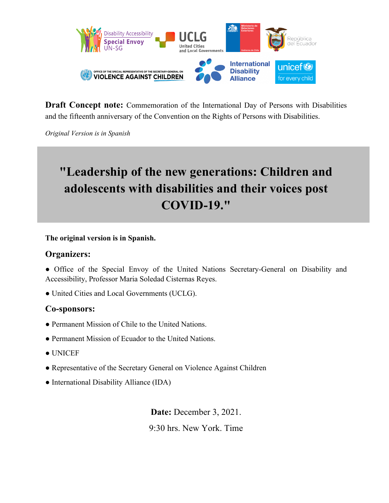

**Draft Concept note:** Commemoration of the International Day of Persons with Disabilities and the fifteenth anniversary of the Convention on the Rights of Persons with Disabilities.

*Original Version is in Spanish*

# **"Leadership of the new generations: Children and adolescents with disabilities and their voices post COVID-19."**

**The original version is in Spanish.** 

## **Organizers:**

• Office of the Special Envoy of the United Nations Secretary-General on Disability and Accessibility, Professor Maria Soledad Cisternas Reyes.

● United Cities and Local Governments (UCLG).

## **Co-sponsors:**

- Permanent Mission of Chile to the United Nations.
- Permanent Mission of Ecuador to the United Nations.
- UNICEF
- Representative of the Secretary General on Violence Against Children
- International Disability Alliance (IDA)

**Date:** December 3, 2021.

9:30 hrs. New York. Time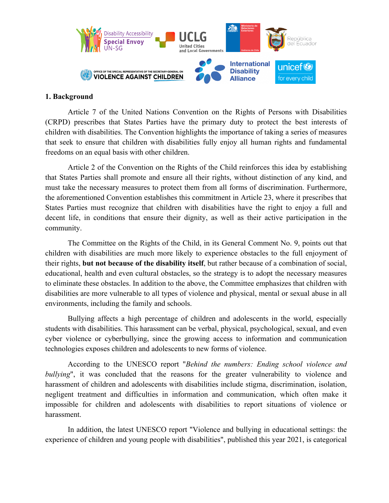

#### **1. Background**

Article 7 of the United Nations Convention on the Rights of Persons with Disabilities (CRPD) prescribes that States Parties have the primary duty to protect the best interests of children with disabilities. The Convention highlights the importance of taking a series of measures that seek to ensure that children with disabilities fully enjoy all human rights and fundamental freedoms on an equal basis with other children.

Article 2 of the Convention on the Rights of the Child reinforces this idea by establishing that States Parties shall promote and ensure all their rights, without distinction of any kind, and must take the necessary measures to protect them from all forms of discrimination. Furthermore, the aforementioned Convention establishes this commitment in Article 23, where it prescribes that States Parties must recognize that children with disabilities have the right to enjoy a full and decent life, in conditions that ensure their dignity, as well as their active participation in the community.

The Committee on the Rights of the Child, in its General Comment No. 9, points out that children with disabilities are much more likely to experience obstacles to the full enjoyment of their rights, **but not because of the disability itself**, but rather because of a combination of social, educational, health and even cultural obstacles, so the strategy is to adopt the necessary measures to eliminate these obstacles. In addition to the above, the Committee emphasizes that children with disabilities are more vulnerable to all types of violence and physical, mental or sexual abuse in all environments, including the family and schools.

Bullying affects a high percentage of children and adolescents in the world, especially students with disabilities. This harassment can be verbal, physical, psychological, sexual, and even cyber violence or cyberbullying, since the growing access to information and communication technologies exposes children and adolescents to new forms of violence.

According to the UNESCO report "*Behind the numbers: Ending school violence and bullying*", it was concluded that the reasons for the greater vulnerability to violence and harassment of children and adolescents with disabilities include stigma, discrimination, isolation, negligent treatment and difficulties in information and communication, which often make it impossible for children and adolescents with disabilities to report situations of violence or harassment.

In addition, the latest UNESCO report "Violence and bullying in educational settings: the experience of children and young people with disabilities", published this year 2021, is categorical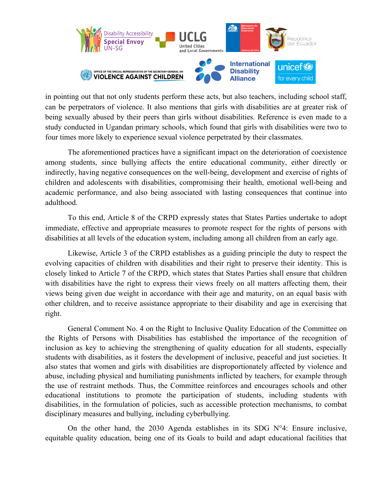

in pointing out that not only students perform these acts, but also teachers, including school staff, can be perpetrators of violence. It also mentions that girls with disabilities are at greater risk of being sexually abused by their peers than girls without disabilities. Reference is even made to a study conducted in Ugandan primary schools, which found that girls with disabilities were two to four times more likely to experience sexual violence perpetrated by their classmates.

The aforementioned practices have a significant impact on the deterioration of coexistence among students, since bullying affects the entire educational community, either directly or indirectly, having negative consequences on the well-being, development and exercise of rights of children and adolescents with disabilities, compromising their health, emotional well-being and academic performance, and also being associated with lasting consequences that continue into adulthood.

To this end, Article 8 of the CRPD expressly states that States Parties undertake to adopt immediate, effective and appropriate measures to promote respect for the rights of persons with disabilities at all levels of the education system, including among all children from an early age.

Likewise, Article 3 of the CRPD establishes as a guiding principle the duty to respect the evolving capacities of children with disabilities and their right to preserve their identity. This is closely linked to Article 7 of the CRPD, which states that States Parties shall ensure that children with disabilities have the right to express their views freely on all matters affecting them, their views being given due weight in accordance with their age and maturity, on an equal basis with other children, and to receive assistance appropriate to their disability and age in exercising that right.

General Comment No. 4 on the Right to Inclusive Quality Education of the Committee on the Rights of Persons with Disabilities has established the importance of the recognition of inclusion as key to achieving the strengthening of quality education for all students, especially students with disabilities, as it fosters the development of inclusive, peaceful and just societies. It also states that women and girls with disabilities are disproportionately affected by violence and abuse, including physical and humiliating punishments inflicted by teachers, for example through the use of restraint methods. Thus, the Committee reinforces and encourages schools and other educational institutions to promote the participation of students, including students with disabilities, in the formulation of policies, such as accessible protection mechanisms, to combat disciplinary measures and bullying, including cyberbullying.

On the other hand, the 2030 Agenda establishes in its SDG  $N^{\circ}4$ : Ensure inclusive, equitable quality education, being one of its Goals to build and adapt educational facilities that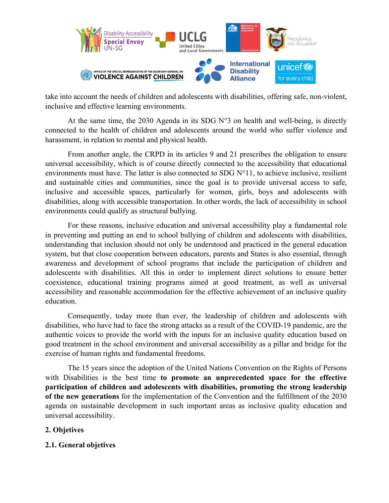

take into account the needs of children and adolescents with disabilities, offering safe, non-violent, inclusive and effective learning environments.

At the same time, the 2030 Agenda in its SDG  $N^{\circ}$ 3 on health and well-being, is directly connected to the health of children and adolescents around the world who suffer violence and harassment, in relation to mental and physical health.

From another angle, the CRPD in its articles 9 and 21 prescribes the obligation to ensure universal accessibility, which is of course directly connected to the accessibility that educational environments must have. The latter is also connected to SDG  $N^{\circ}11$ , to achieve inclusive, resilient and sustainable cities and communities, since the goal is to provide universal access to safe, inclusive and accessible spaces, particularly for women, girls, boys and adolescents with disabilities, along with accessible transportation. In other words, the lack of accessibility in school environments could qualify as structural bullying.

For these reasons, inclusive education and universal accessibility play a fundamental role in preventing and putting an end to school bullying of children and adolescents with disabilities, understanding that inclusion should not only be understood and practiced in the general education system, but that close cooperation between educators, parents and States is also essential, through awareness and development of school programs that include the participation of children and adolescents with disabilities. All this in order to implement direct solutions to ensure better coexistence, educational training programs aimed at good treatment, as well as universal accessibility and reasonable accommodation for the effective achievement of an inclusive quality education.

Consequently, today more than ever, the leadership of children and adolescents with disabilities, who have had to face the strong attacks as a result of the COVID-19 pandemic, are the authentic voices to provide the world with the inputs for an inclusive quality education based on good treatment in the school environment and universal accessibility as a pillar and bridge for the exercise of human rights and fundamental freedoms.

The 15 years since the adoption of the United Nations Convention on the Rights of Persons with Disabilities is the best time **to promote an unprecedented space for the effective participation of children and adolescents with disabilities, promoting the strong leadership of the new generations** for the implementation of the Convention and the fulfillment of the 2030 agenda on sustainable development in such important areas as inclusive quality education and universal accessibility.

### **2. Objetives**

### **2.1. General objetives**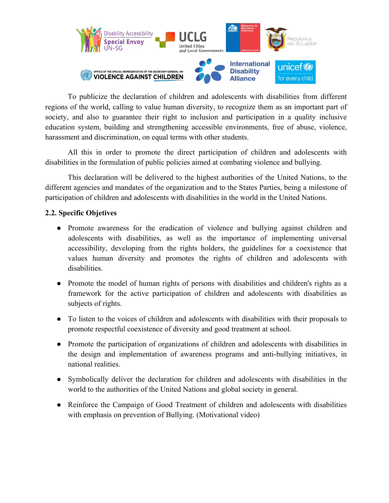

To publicize the declaration of children and adolescents with disabilities from different regions of the world, calling to value human diversity, to recognize them as an important part of society, and also to guarantee their right to inclusion and participation in a quality inclusive education system, building and strengthening accessible environments, free of abuse, violence, harassment and discrimination, on equal terms with other students.

All this in order to promote the direct participation of children and adolescents with disabilities in the formulation of public policies aimed at combating violence and bullying.

This declaration will be delivered to the highest authorities of the United Nations, to the different agencies and mandates of the organization and to the States Parties, being a milestone of participation of children and adolescents with disabilities in the world in the United Nations.

### **2.2. Specific Objetives**

- Promote awareness for the eradication of violence and bullying against children and adolescents with disabilities, as well as the importance of implementing universal accessibility, developing from the rights holders, the guidelines for a coexistence that values human diversity and promotes the rights of children and adolescents with disabilities.
- Promote the model of human rights of persons with disabilities and children's rights as a framework for the active participation of children and adolescents with disabilities as subjects of rights.
- To listen to the voices of children and adolescents with disabilities with their proposals to promote respectful coexistence of diversity and good treatment at school.
- Promote the participation of organizations of children and adolescents with disabilities in the design and implementation of awareness programs and anti-bullying initiatives, in national realities.
- Symbolically deliver the declaration for children and adolescents with disabilities in the world to the authorities of the United Nations and global society in general.
- Reinforce the Campaign of Good Treatment of children and adolescents with disabilities with emphasis on prevention of Bullying. (Motivational video)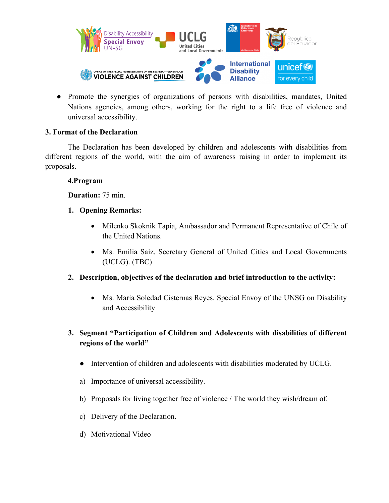

● Promote the synergies of organizations of persons with disabilities, mandates, United Nations agencies, among others, working for the right to a life free of violence and universal accessibility.

### **3. Format of the Declaration**

The Declaration has been developed by children and adolescents with disabilities from different regions of the world, with the aim of awareness raising in order to implement its proposals.

### **4.Program**

**Duration:** 75 min.

- **1. Opening Remarks:**
	- Milenko Skoknik Tapia, Ambassador and Permanent Representative of Chile of the United Nations.
	- Ms. Emilia Saiz. Secretary General of United Cities and Local Governments (UCLG). (TBC)
- **2. Description, objectives of the declaration and brief introduction to the activity:**
	- Ms. María Soledad Cisternas Reyes. Special Envoy of the UNSG on Disability and Accessibility

## **3. Segment "Participation of Children and Adolescents with disabilities of different regions of the world"**

- Intervention of children and adolescents with disabilities moderated by UCLG.
- a) Importance of universal accessibility.
- b) Proposals for living together free of violence / The world they wish/dream of.
- c) Delivery of the Declaration.
- d) Motivational Video